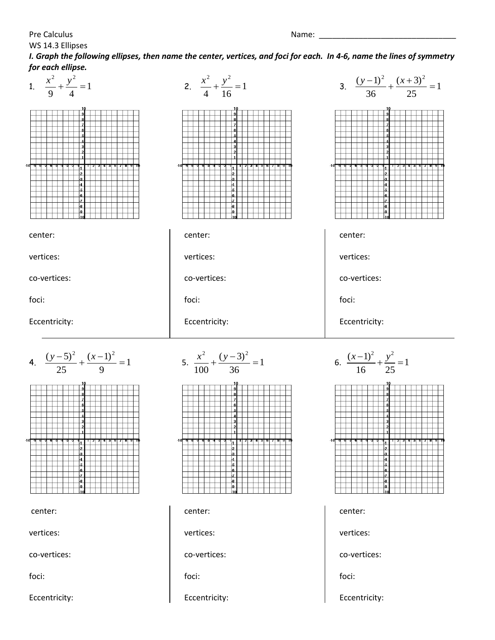Pre Calculus Name: \_\_\_\_\_\_\_\_\_\_\_\_\_\_\_\_\_\_\_\_\_\_\_\_\_\_\_\_\_\_\_

*I. Graph the following ellipses, then name the center, vertices, and foci for each. In 4-6, name the lines of symmetry for each ellipse.*